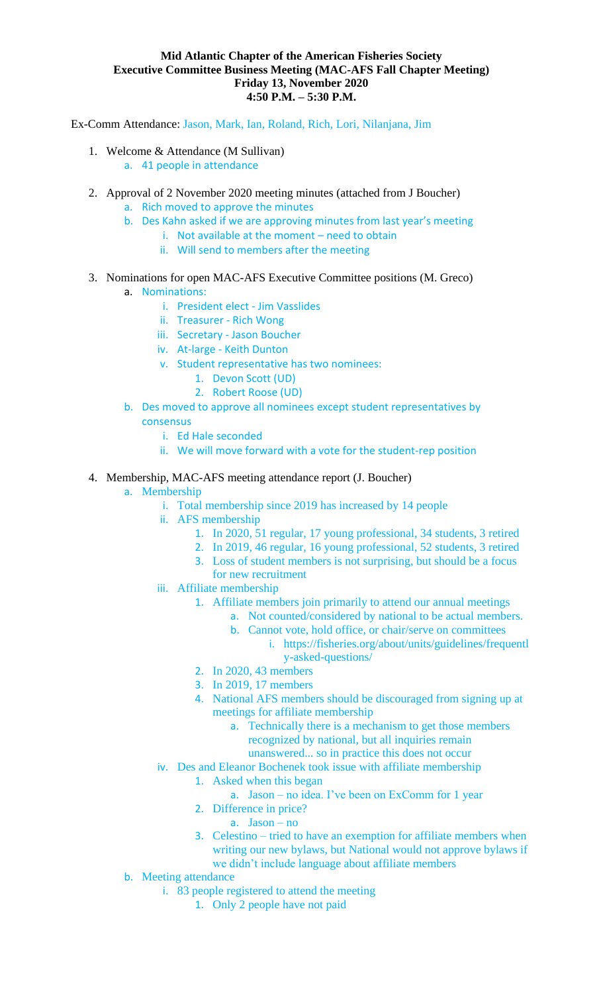## **Mid Atlantic Chapter of the American Fisheries Society Executive Committee Business Meeting (MAC-AFS Fall Chapter Meeting) Friday 13, November 2020 4:50 P.M. – 5:30 P.M.**

Ex-Comm Attendance: Jason, Mark, Ian, Roland, Rich, Lori, Nilanjana, Jim

- 1. Welcome & Attendance (M Sullivan)
	- a. 41 people in attendance
- 2. Approval of 2 November 2020 meeting minutes (attached from J Boucher)
	- a. Rich moved to approve the minutes
	- b. Des Kahn asked if we are approving minutes from last year's meeting
		- i. Not available at the moment need to obtain
		- ii. Will send to members after the meeting
- 3. Nominations for open MAC-AFS Executive Committee positions (M. Greco)
	- a. Nominations:
		- i. President elect Jim Vasslides
		- ii. Treasurer Rich Wong
		- iii. Secretary Jason Boucher
		- iv. At-large Keith Dunton
		- v. Student representative has two nominees:
			- 1. Devon Scott (UD)
			- 2. Robert Roose (UD)
	- b. Des moved to approve all nominees except student representatives by consensus
		- i. Ed Hale seconded
		- ii. We will move forward with a vote for the student-rep position
- 4. Membership, MAC-AFS meeting attendance report (J. Boucher)
	- a. Membership
		- i. Total membership since 2019 has increased by 14 people
		- ii. AFS membership
			- 1. In 2020, 51 regular, 17 young professional, 34 students, 3 retired
			- 2. In 2019, 46 regular, 16 young professional, 52 students, 3 retired
			- 3. Loss of student members is not surprising, but should be a focus for new recruitment
		- iii. Affiliate membership
			- 1. Affiliate members join primarily to attend our annual meetings
				- a. Not counted/considered by national to be actual members.
				- b. Cannot vote, hold office, or chair/serve on committees
					- i. https://fisheries.org/about/units/guidelines/frequentl y-asked-questions/
			- 2. In 2020, 43 members
			- 3. In 2019, 17 members
			- 4. National AFS members should be discouraged from signing up at meetings for affiliate membership
				- a. Technically there is a mechanism to get those members recognized by national, but all inquiries remain
				- unanswered... so in practice this does not occur
		- iv. Des and Eleanor Bochenek took issue with affiliate membership
			- 1. Asked when this began
				- a. Jason no idea. I've been on ExComm for 1 year
			- 2. Difference in price?
				- a. Jason no
			- 3. Celestino tried to have an exemption for affiliate members when writing our new bylaws, but National would not approve bylaws if we didn't include language about affiliate members
	- b. Meeting attendance
		- i. 83 people registered to attend the meeting
			- 1. Only 2 people have not paid